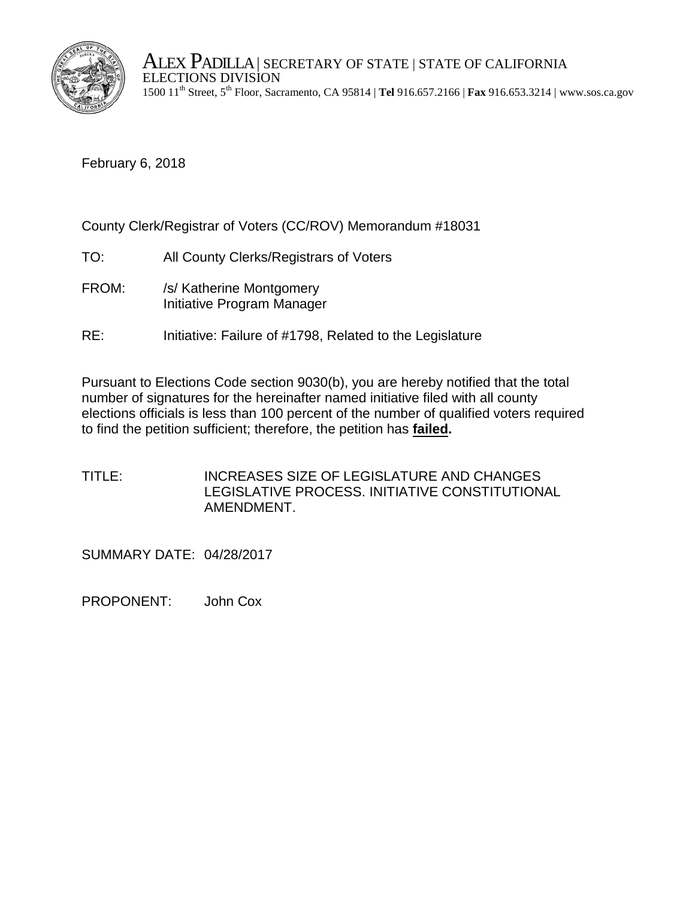

ALEX PADILLA | SECRETARY OF STATE | STATE OF CALIFORNIA ELECTIONS DIVISION 1500 11th Street, 5th Floor, Sacramento, CA 95814 | **Tel** 916.657.2166 | **Fax** 916.653.3214 | www.sos.ca.gov

February 6, 2018

County Clerk/Registrar of Voters (CC/ROV) Memorandum #18031

- TO: All County Clerks/Registrars of Voters
- FROM: /s/ Katherine Montgomery Initiative Program Manager
- RE: Initiative: Failure of #1798, Related to the Legislature

Pursuant to Elections Code section 9030(b), you are hereby notified that the total number of signatures for the hereinafter named initiative filed with all county elections officials is less than 100 percent of the number of qualified voters required to find the petition sufficient; therefore, the petition has **failed.** 

TITLE: INCREASES SIZE OF LEGISLATURE AND CHANGES LEGISLATIVE PROCESS. INITIATIVE CONSTITUTIONAL AMENDMENT.

SUMMARY DATE: 04/28/2017

PROPONENT: John Cox